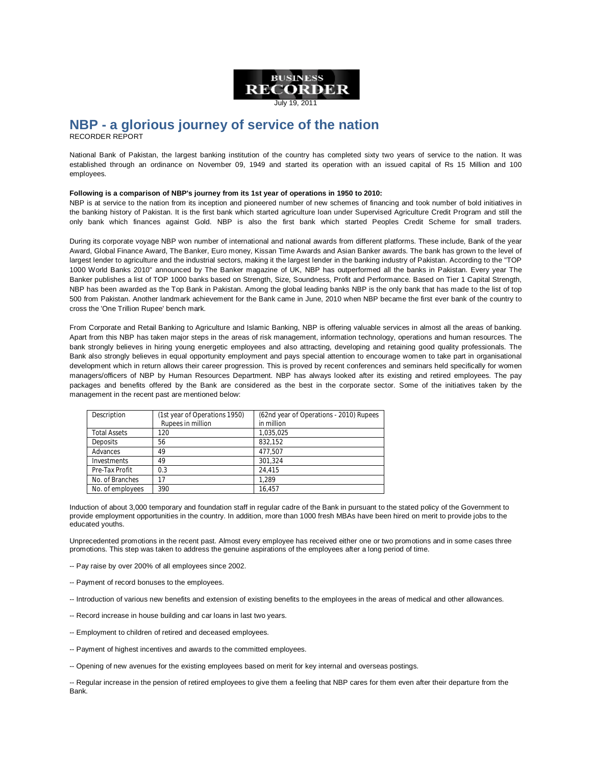

July 19, 2011

# **NBP - a glorious journey of service of the nation** RECORDER REPORT

National Bank of Pakistan, the largest banking institution of the country has completed sixty two years of service to the nation. It was established through an ordinance on November 09, 1949 and started its operation with an issued capital of Rs 15 Million and 100 employees.

## **Following is a comparison of NBP's journey from its 1st year of operations in 1950 to 2010:**

NBP is at service to the nation from its inception and pioneered number of new schemes of financing and took number of bold initiatives in the banking history of Pakistan. It is the first bank which started agriculture loan under Supervised Agriculture Credit Program and still the only bank which finances against Gold. NBP is also the first bank which started Peoples Credit Scheme for small traders.

During its corporate voyage NBP won number of international and national awards from different platforms. These include, Bank of the year Award, Global Finance Award, The Banker, Euro money, Kissan Time Awards and Asian Banker awards. The bank has grown to the level of largest lender to agriculture and the industrial sectors, making it the largest lender in the banking industry of Pakistan. According to the "TOP 1000 World Banks 2010" announced by The Banker magazine of UK, NBP has outperformed all the banks in Pakistan. Every year The Banker publishes a list of TOP 1000 banks based on Strength, Size, Soundness, Profit and Performance. Based on Tier 1 Capital Strength, NBP has been awarded as the Top Bank in Pakistan. Among the global leading banks NBP is the only bank that has made to the list of top 500 from Pakistan. Another landmark achievement for the Bank came in June, 2010 when NBP became the first ever bank of the country to cross the 'One Trillion Rupee' bench mark.

From Corporate and Retail Banking to Agriculture and Islamic Banking, NBP is offering valuable services in almost all the areas of banking. Apart from this NBP has taken major steps in the areas of risk management, information technology, operations and human resources. The bank strongly believes in hiring young energetic employees and also attracting, developing and retaining good quality professionals. The Bank also strongly believes in equal opportunity employment and pays special attention to encourage women to take part in organisational development which in return allows their career progression. This is proved by recent conferences and seminars held specifically for women managers/officers of NBP by Human Resources Department. NBP has always looked after its existing and retired employees. The pay packages and benefits offered by the Bank are considered as the best in the corporate sector. Some of the initiatives taken by the management in the recent past are mentioned below:

| Description         | (1st year of Operations 1950) | (62nd year of Operations - 2010) Rupees |
|---------------------|-------------------------------|-----------------------------------------|
|                     | Rupees in million             | in million                              |
| <b>Total Assets</b> | 120                           | 1.035.025                               |
| Deposits            | 56                            | 832.152                                 |
| Advances            | 49                            | 477.507                                 |
| Investments         | 49                            | 301.324                                 |
| Pre-Tax Profit      | 0.3                           | 24.415                                  |
| No. of Branches     | 17                            | 1.289                                   |
| No. of employees    | 390                           | 16.457                                  |

Induction of about 3,000 temporary and foundation staff in regular cadre of the Bank in pursuant to the stated policy of the Government to provide employment opportunities in the country. In addition, more than 1000 fresh MBAs have been hired on merit to provide jobs to the educated youths.

Unprecedented promotions in the recent past. Almost every employee has received either one or two promotions and in some cases three promotions. This step was taken to address the genuine aspirations of the employees after a long period of time.

- -- Pay raise by over 200% of all employees since 2002.
- -- Payment of record bonuses to the employees.
- -- Introduction of various new benefits and extension of existing benefits to the employees in the areas of medical and other allowances.
- -- Record increase in house building and car loans in last two years.
- -- Employment to children of retired and deceased employees.
- -- Payment of highest incentives and awards to the committed employees.
- -- Opening of new avenues for the existing employees based on merit for key internal and overseas postings.

-- Regular increase in the pension of retired employees to give them a feeling that NBP cares for them even after their departure from the Bank.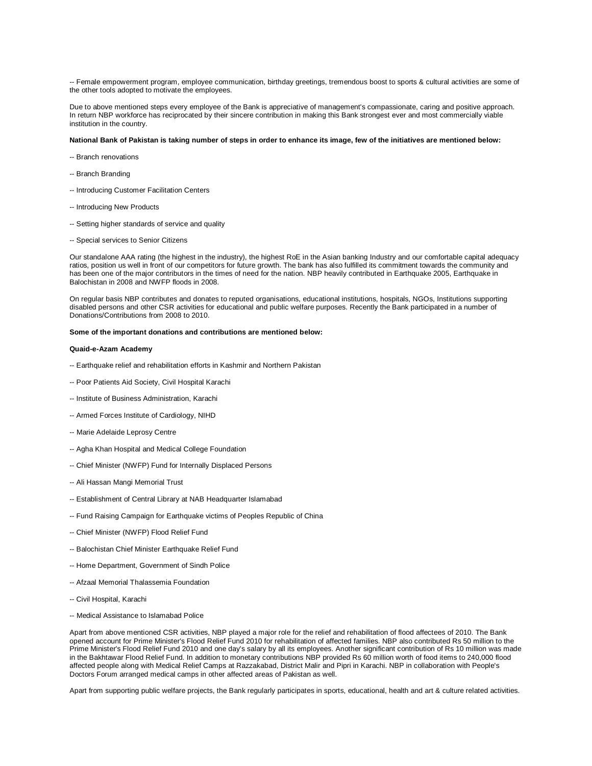-- Female empowerment program, employee communication, birthday greetings, tremendous boost to sports & cultural activities are some of the other tools adopted to motivate the employees.

Due to above mentioned steps every employee of the Bank is appreciative of management's compassionate, caring and positive approach. In return NBP workforce has reciprocated by their sincere contribution in making this Bank strongest ever and most commercially viable institution in the country.

### **National Bank of Pakistan is taking number of steps in order to enhance its image, few of the initiatives are mentioned below:**

- -- Branch renovations
- -- Branch Branding
- -- Introducing Customer Facilitation Centers
- -- Introducing New Products
- -- Setting higher standards of service and quality
- -- Special services to Senior Citizens

Our standalone AAA rating (the highest in the industry), the highest RoE in the Asian banking Industry and our comfortable capital adequacy ratios, position us well in front of our competitors for future growth. The bank has also fulfilled its commitment towards the community and has been one of the major contributors in the times of need for the nation. NBP heavily contributed in Earthquake 2005, Earthquake in Balochistan in 2008 and NWFP floods in 2008.

On regular basis NBP contributes and donates to reputed organisations, educational institutions, hospitals, NGOs, Institutions supporting disabled persons and other CSR activities for educational and public welfare purposes. Recently the Bank participated in a number of Donations/Contributions from 2008 to 2010.

### **Some of the important donations and contributions are mentioned below:**

### **Quaid-e-Azam Academy**

- -- Earthquake relief and rehabilitation efforts in Kashmir and Northern Pakistan
- -- Poor Patients Aid Society, Civil Hospital Karachi
- -- Institute of Business Administration, Karachi
- -- Armed Forces Institute of Cardiology, NIHD
- -- Marie Adelaide Leprosy Centre
- -- Agha Khan Hospital and Medical College Foundation
- -- Chief Minister (NWFP) Fund for Internally Displaced Persons
- -- Ali Hassan Mangi Memorial Trust
- -- Establishment of Central Library at NAB Headquarter Islamabad
- -- Fund Raising Campaign for Earthquake victims of Peoples Republic of China
- -- Chief Minister (NWFP) Flood Relief Fund
- -- Balochistan Chief Minister Earthquake Relief Fund
- -- Home Department, Government of Sindh Police
- -- Afzaal Memorial Thalassemia Foundation
- -- Civil Hospital, Karachi
- -- Medical Assistance to Islamabad Police

Apart from above mentioned CSR activities, NBP played a major role for the relief and rehabilitation of flood affectees of 2010. The Bank opened account for Prime Minister's Flood Relief Fund 2010 for rehabilitation of affected families. NBP also contributed Rs 50 million to the Prime Minister's Flood Relief Fund 2010 and one day's salary by all its employees. Another significant contribution of Rs 10 million was made in the Bakhtawar Flood Relief Fund. In addition to monetary contributions NBP provided Rs 60 million worth of food items to 240,000 flood affected people along with Medical Relief Camps at Razzakabad, District Malir and Pipri in Karachi. NBP in collaboration with People's Doctors Forum arranged medical camps in other affected areas of Pakistan as well.

Apart from supporting public welfare projects, the Bank regularly participates in sports, educational, health and art & culture related activities.